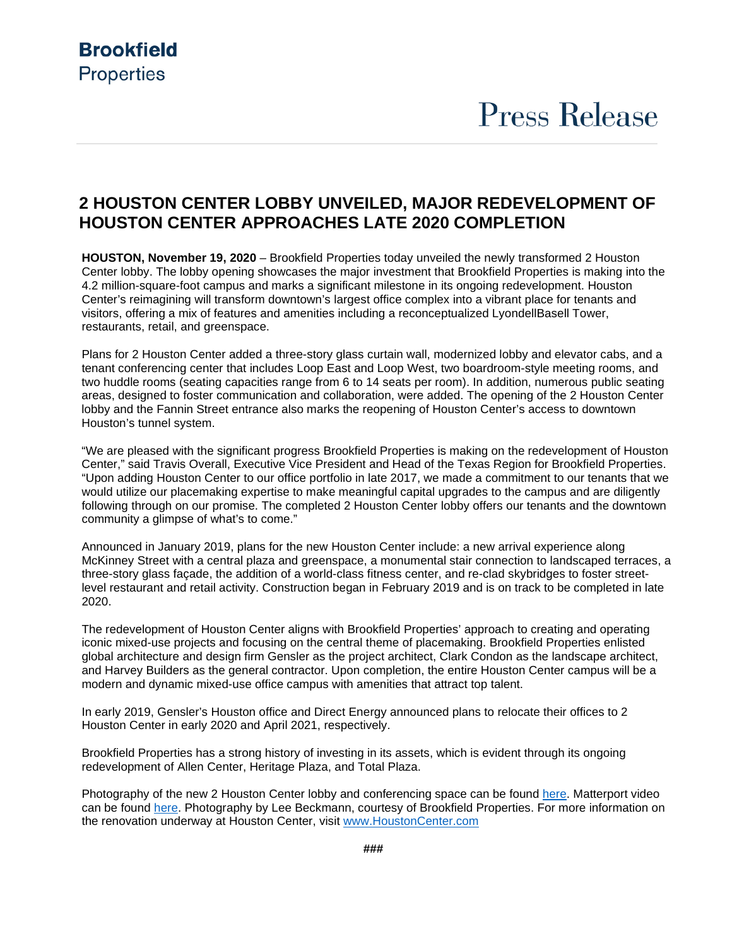### **Brookfield Properties**

## **Press Release**

### **2 HOUSTON CENTER LOBBY UNVEILED, MAJOR REDEVELOPMENT OF HOUSTON CENTER APPROACHES LATE 2020 COMPLETION**

**HOUSTON, November 19, 2020** – Brookfield Properties today unveiled the newly transformed 2 Houston Center lobby. The lobby opening showcases the major investment that Brookfield Properties is making into the 4.2 million-square-foot campus and marks a significant milestone in its ongoing redevelopment. Houston Center's reimagining will transform downtown's largest office complex into a vibrant place for tenants and visitors, offering a mix of features and amenities including a reconceptualized LyondellBasell Tower, restaurants, retail, and greenspace.

Plans for 2 Houston Center added a three-story glass curtain wall, modernized lobby and elevator cabs, and a tenant conferencing center that includes Loop East and Loop West, two boardroom-style meeting rooms, and two huddle rooms (seating capacities range from 6 to 14 seats per room). In addition, numerous public seating areas, designed to foster communication and collaboration, were added. The opening of the 2 Houston Center lobby and the Fannin Street entrance also marks the reopening of Houston Center's access to downtown Houston's tunnel system.

"We are pleased with the significant progress Brookfield Properties is making on the redevelopment of Houston Center," said Travis Overall, Executive Vice President and Head of the Texas Region for Brookfield Properties. "Upon adding Houston Center to our office portfolio in late 2017, we made a commitment to our tenants that we would utilize our placemaking expertise to make meaningful capital upgrades to the campus and are diligently following through on our promise. The completed 2 Houston Center lobby offers our tenants and the downtown community a glimpse of what's to come."

Announced in January 2019, plans for the new Houston Center include: a new arrival experience along McKinney Street with a central plaza and greenspace, a monumental stair connection to landscaped terraces, a three-story glass façade, the addition of a world-class fitness center, and re-clad skybridges to foster streetlevel restaurant and retail activity. Construction began in February 2019 and is on track to be completed in late 2020.

The redevelopment of Houston Center aligns with Brookfield Properties' approach to creating and operating iconic mixed-use projects and focusing on the central theme of placemaking. Brookfield Properties enlisted global architecture and design firm Gensler as the project architect, Clark Condon as the landscape architect, and Harvey Builders as the general contractor. Upon completion, the entire Houston Center campus will be a modern and dynamic mixed-use office campus with amenities that attract top talent.

In early 2019, Gensler's Houston office and Direct Energy announced plans to relocate their offices to 2 Houston Center in early 2020 and April 2021, respectively.

Brookfield Properties has a strong history of investing in its assets, which is evident through its ongoing redevelopment of Allen Center, Heritage Plaza, and Total Plaza.

Photography of the new 2 Houston Center lobby and conferencing space can be found [here.](https://www.dropbox.com/sh/pc2d079ngw3bgfl/AADOoyhUPdYDew-XTDoh7ANDa?dl=0) Matterport video can be found [here.](https://my.matterport.com/show/?m=mKiMrCqaeVD) Photography by Lee Beckmann, courtesy of Brookfield Properties. For more information on the renovation underway at Houston Center, visit [www.HoustonCenter.com](http://www.houstoncenter.com/)